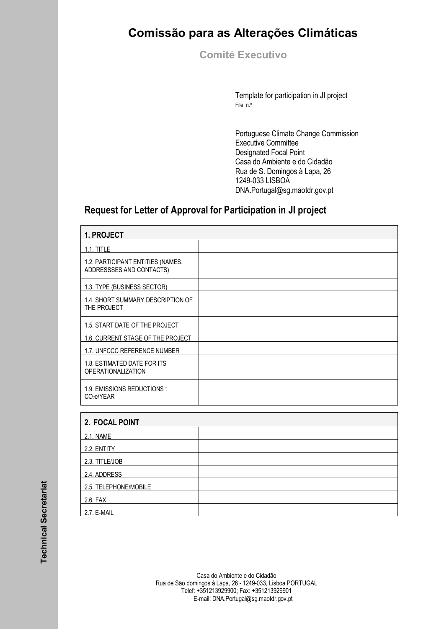## **Comissão para as Alterações Climáticas**

**Comité Executivo** 

Template for participation in JI project File n.º

Portuguese Climate Change Commission Executive Committee Designated Focal Point Casa do Ambiente e do Cidadão Rua de S. Domingos à Lapa, 26 1249-033 LISBOA DNA.Portugal@sg.maotdr.gov.pt

## **Request for Letter of Approval for Participation in JI project**

| 1. PROJECT                                                    |  |  |
|---------------------------------------------------------------|--|--|
| $1.1.$ TITLE                                                  |  |  |
| 1.2. PARTICIPANT ENTITIES (NAMES,<br>ADDRESSSES AND CONTACTS) |  |  |
| 1.3. TYPE (BUSINESS SECTOR)                                   |  |  |
| 1.4. SHORT SUMMARY DESCRIPTION OF<br>THE PROJECT              |  |  |
| 1.5. START DATE OF THE PROJECT                                |  |  |
| 1.6. CURRENT STAGE OF THE PROJECT                             |  |  |
| 1.7. UNFCCC REFERENCE NUMBER                                  |  |  |
| 1.8. ESTIMATED DATE FOR ITS<br><b>OPERATIONALIZATION</b>      |  |  |
| 1.9. EMISSIONS REDUCTIONS t<br>CO <sub>2</sub> e/YEAR         |  |  |
| 2. FOCAL POINT                                                |  |  |

| 2. FOCAL POINT        |  |
|-----------------------|--|
| 2.1. NAME             |  |
| 2.2. ENTITY           |  |
| 2.3. TITLE/JOB        |  |
| 2.4. ADDRESS          |  |
| 2.5. TELEPHONE/MOBILE |  |
| 2.6. FAX              |  |
| 2.7. E-MAIL           |  |